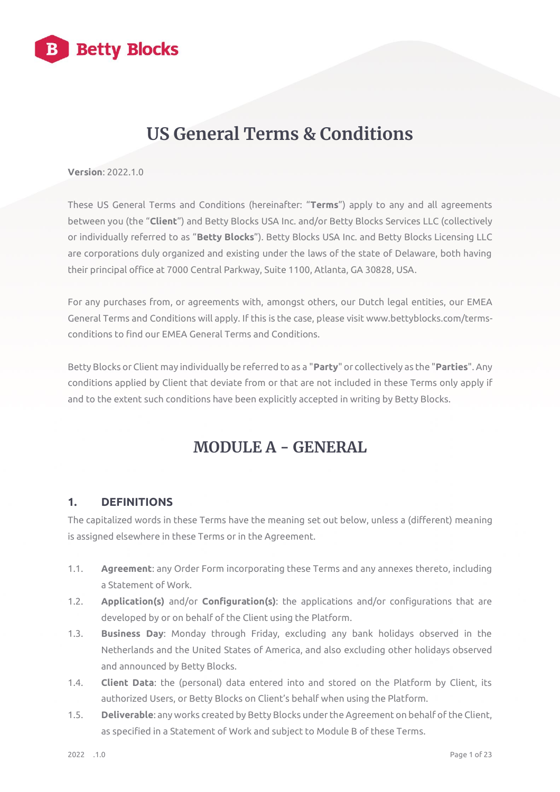

## **US General Terms & Conditions**

#### **Version**: 2022.1.0

These US General Terms and Conditions (hereinafter: "**Terms**") apply to any and all agreements between you (the "**Client**") and Betty Blocks USA Inc. and/or Betty Blocks Services LLC (collectively or individually referred to as "**Betty Blocks**"). Betty Blocks USA Inc. and Betty Blocks Licensing LLC are corporations duly organized and existing under the laws of the state of Delaware, both having their principal office at 7000 Central Parkway, Suite 1100, Atlanta, GA 30828, USA.

For any purchases from, or agreements with, amongst others, our Dutch legal entities, our EMEA General Terms and Conditions will apply. If this is the case, please visit www.bettyblocks.com/termsconditions to find our EMEA General Terms and Conditions.

Betty Blocks or Client may individually be referred to as a "**Party**" or collectively as the "**Parties**". Any conditions applied by Client that deviate from or that are not included in these Terms only apply if and to the extent such conditions have been explicitly accepted in writing by Betty Blocks.

## **MODULE A - GENERAL**

#### **1. DEFINITIONS**

The capitalized words in these Terms have the meaning set out below, unless a (different) meaning is assigned elsewhere in these Terms or in the Agreement.

- 1.1. **Agreement**: any Order Form incorporating these Terms and any annexes thereto, including a Statement of Work.
- 1.2. **Application(s)** and/or **Configuration(s)**: the applications and/or configurations that are developed by or on behalf of the Client using the Platform.
- 1.3. **Business Day**: Monday through Friday, excluding any bank holidays observed in the Netherlands and the United States of America, and also excluding other holidays observed and announced by Betty Blocks.
- 1.4. **Client Data**: the (personal) data entered into and stored on the Platform by Client, its authorized Users, or Betty Blocks on Client's behalf when using the Platform.
- 1.5. **Deliverable**: any works created by Betty Blocks under the Agreement on behalf of the Client, as specified in a Statement of Work and subject to Module B of these Terms.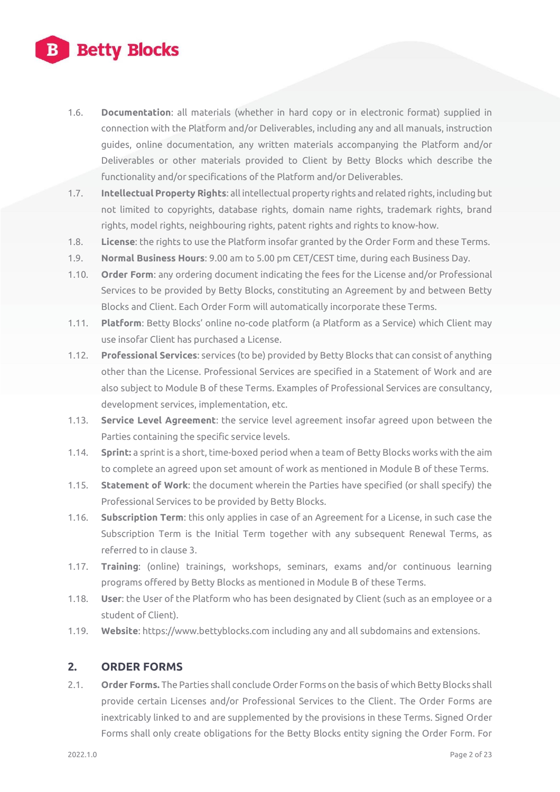# **Betty Blocks**

- 1.6. **Documentation**: all materials (whether in hard copy or in electronic format) supplied in connection with the Platform and/or Deliverables, including any and all manuals, instruction guides, online documentation, any written materials accompanying the Platform and/or Deliverables or other materials provided to Client by Betty Blocks which describe the functionality and/or specifications of the Platform and/or Deliverables.
- 1.7. **Intellectual Property Rights**: all intellectual property rights and related rights, including but not limited to copyrights, database rights, domain name rights, trademark rights, brand rights, model rights, neighbouring rights, patent rights and rights to know-how.
- 1.8. **License**: the rights to use the Platform insofar granted by the Order Form and these Terms.
- 1.9. **Normal Business Hours**: 9.00 am to 5.00 pm CET/CEST time, during each Business Day.
- 1.10. **Order Form**: any ordering document indicating the fees for the License and/or Professional Services to be provided by Betty Blocks, constituting an Agreement by and between Betty Blocks and Client. Each Order Form will automatically incorporate these Terms.
- 1.11. **Platform**: Betty Blocks' online no-code platform (a Platform as a Service) which Client may use insofar Client has purchased a License.
- 1.12. **Professional Services**: services (to be) provided by Betty Blocks that can consist of anything other than the License. Professional Services are specified in a Statement of Work and are also subject to Module B of these Terms. Examples of Professional Services are consultancy, development services, implementation, etc.
- 1.13. **Service Level Agreement**: the service level agreement insofar agreed upon between the Parties containing the specific service levels.
- 1.14. **Sprint:** a sprint is a short, time-boxed period when a team of Betty Blocks works with the aim to complete an agreed upon set amount of work as mentioned in Module B of these Terms.
- 1.15. **Statement of Work**: the document wherein the Parties have specified (or shall specify) the Professional Services to be provided by Betty Blocks.
- 1.16. **Subscription Term**: this only applies in case of an Agreement for a License, in such case the Subscription Term is the Initial Term together with any subsequent Renewal Terms, as referred to in clause 3.
- 1.17. **Training**: (online) trainings, workshops, seminars, exams and/or continuous learning programs offered by Betty Blocks as mentioned in Module B of these Terms.
- 1.18. **User**: the User of the Platform who has been designated by Client (such as an employee or a student of Client).
- 1.19. **Website**: https://www.bettyblocks.com including any and all subdomains and extensions.

#### **2. ORDER FORMS**

2.1. **Order Forms.** The Parties shall conclude Order Forms on the basis of which Betty Blocks shall provide certain Licenses and/or Professional Services to the Client. The Order Forms are inextricably linked to and are supplemented by the provisions in these Terms. Signed Order Forms shall only create obligations for the Betty Blocks entity signing the Order Form. For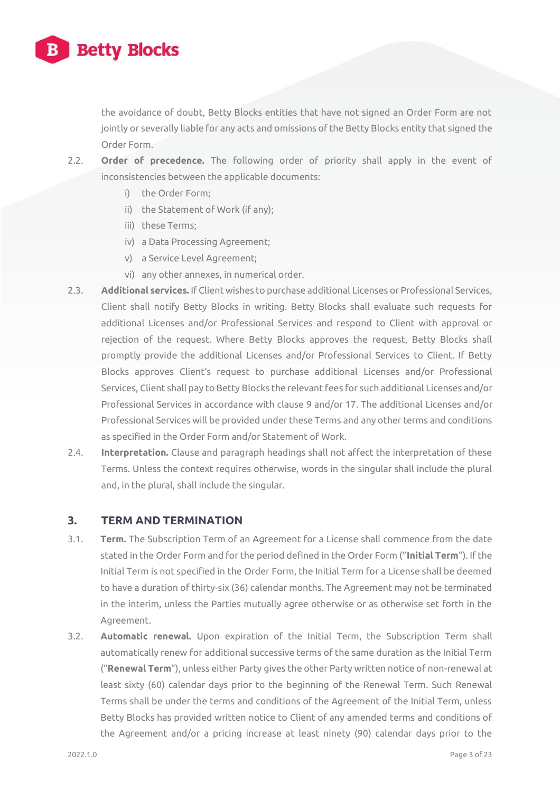

the avoidance of doubt, Betty Blocks entities that have not signed an Order Form are not jointly or severally liable for any acts and omissions of the Betty Blocks entity that signed the Order Form.

- 2.2. **Order of precedence.** The following order of priority shall apply in the event of inconsistencies between the applicable documents:
	- i) the Order Form;
	- ii) the Statement of Work (if any);
	- iii) these Terms;
	- iv) a Data Processing Agreement;
	- v) a Service Level Agreement;
	- vi) any other annexes, in numerical order.
- 2.3. **Additional services.** If Client wishes to purchase additional Licenses or Professional Services, Client shall notify Betty Blocks in writing. Betty Blocks shall evaluate such requests for additional Licenses and/or Professional Services and respond to Client with approval or rejection of the request. Where Betty Blocks approves the request, Betty Blocks shall promptly provide the additional Licenses and/or Professional Services to Client. If Betty Blocks approves Client's request to purchase additional Licenses and/or Professional Services, Client shall pay to Betty Blocks the relevant fees for such additional Licenses and/or Professional Services in accordance with clause 9 and/or 17. The additional Licenses and/or Professional Services will be provided under these Terms and any other terms and conditions as specified in the Order Form and/or Statement of Work.
- 2.4. **Interpretation.** Clause and paragraph headings shall not affect the interpretation of these Terms. Unless the context requires otherwise, words in the singular shall include the plural and, in the plural, shall include the singular.

#### **3. TERM AND TERMINATION**

- 3.1. **Term.** The Subscription Term of an Agreement for a License shall commence from the date stated in the Order Form and for the period defined in the Order Form ("**Initial Term**"). If the Initial Term is not specified in the Order Form, the Initial Term for a License shall be deemed to have a duration of thirty-six (36) calendar months. The Agreement may not be terminated in the interim, unless the Parties mutually agree otherwise or as otherwise set forth in the Agreement.
- 3.2. **Automatic renewal.** Upon expiration of the Initial Term, the Subscription Term shall automatically renew for additional successive terms of the same duration as the Initial Term ("**Renewal Term**"), unless either Party gives the other Party written notice of non-renewal at least sixty (60) calendar days prior to the beginning of the Renewal Term. Such Renewal Terms shall be under the terms and conditions of the Agreement of the Initial Term, unless Betty Blocks has provided written notice to Client of any amended terms and conditions of the Agreement and/or a pricing increase at least ninety (90) calendar days prior to the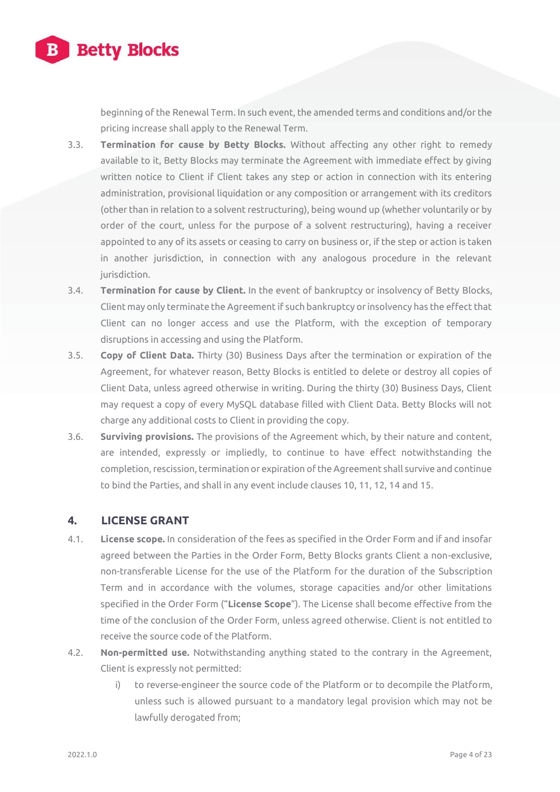

beginning of the Renewal Term. In such event, the amended terms and conditions and/or the pricing increase shall apply to the Renewal Term.

- 3.3. **Termination for cause by Betty Blocks.** Without affecting any other right to remedy available to it, Betty Blocks may terminate the Agreement with immediate effect by giving written notice to Client if Client takes any step or action in connection with its entering administration, provisional liquidation or any composition or arrangement with its creditors (other than in relation to a solvent restructuring), being wound up (whether voluntarily or by order of the court, unless for the purpose of a solvent restructuring), having a receiver appointed to any of its assets or ceasing to carry on business or, if the step or action is taken in another jurisdiction, in connection with any analogous procedure in the relevant jurisdiction.
- 3.4. **Termination for cause by Client.** In the event of bankruptcy or insolvency of Betty Blocks, Client may only terminate the Agreement if such bankruptcy or insolvency has the effect that Client can no longer access and use the Platform, with the exception of temporary disruptions in accessing and using the Platform.
- 3.5. **Copy of Client Data.** Thirty (30) Business Days after the termination or expiration of the Agreement, for whatever reason, Betty Blocks is entitled to delete or destroy all copies of Client Data, unless agreed otherwise in writing. During the thirty (30) Business Days, Client may request a copy of every MySQL database filled with Client Data. Betty Blocks will not charge any additional costs to Client in providing the copy.
- 3.6. **Surviving provisions.** The provisions of the Agreement which, by their nature and content, are intended, expressly or impliedly, to continue to have effect notwithstanding the completion, rescission, termination or expiration of the Agreement shall survive and continue to bind the Parties, and shall in any event include clauses 10, 11, 12, 14 and 15.

#### **4. LICENSE GRANT**

- 4.1. **License scope.** In consideration of the fees as specified in the Order Form and if and insofar agreed between the Parties in the Order Form, Betty Blocks grants Client a non-exclusive, non-transferable License for the use of the Platform for the duration of the Subscription Term and in accordance with the volumes, storage capacities and/or other limitations specified in the Order Form ("**License Scope**"). The License shall become effective from the time of the conclusion of the Order Form, unless agreed otherwise. Client is not entitled to receive the source code of the Platform.
- 4.2. **Non-permitted use.** Notwithstanding anything stated to the contrary in the Agreement, Client is expressly not permitted:
	- i) to reverse-engineer the source code of the Platform or to decompile the Platform, unless such is allowed pursuant to a mandatory legal provision which may not be lawfully derogated from;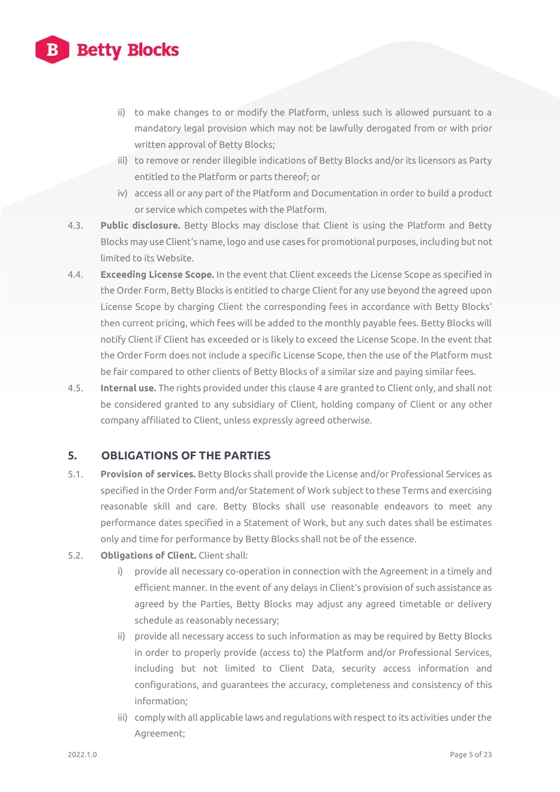

- ii) to make changes to or modify the Platform, unless such is allowed pursuant to a mandatory legal provision which may not be lawfully derogated from or with prior written approval of Betty Blocks;
- iii) to remove or render illegible indications of Betty Blocks and/or its licensors as Party entitled to the Platform or parts thereof; or
- iv) access all or any part of the Platform and Documentation in order to build a product or service which competes with the Platform.
- 4.3. **Public disclosure.** Betty Blocks may disclose that Client is using the Platform and Betty Blocks may use Client's name, logo and use cases for promotional purposes, including but not limited to its Website.
- 4.4. **Exceeding License Scope.** In the event that Client exceeds the License Scope as specified in the Order Form, Betty Blocks is entitled to charge Client for any use beyond the agreed upon License Scope by charging Client the corresponding fees in accordance with Betty Blocks' then current pricing, which fees will be added to the monthly payable fees. Betty Blocks will notify Client if Client has exceeded or is likely to exceed the License Scope. In the event that the Order Form does not include a specific License Scope, then the use of the Platform must be fair compared to other clients of Betty Blocks of a similar size and paying similar fees.
- 4.5. **Internal use.** The rights provided under this clause 4 are granted to Client only, and shall not be considered granted to any subsidiary of Client, holding company of Client or any other company affiliated to Client, unless expressly agreed otherwise.

#### **5. OBLIGATIONS OF THE PARTIES**

- 5.1. **Provision of services.** Betty Blocks shall provide the License and/or Professional Services as specified in the Order Form and/or Statement of Work subject to these Terms and exercising reasonable skill and care. Betty Blocks shall use reasonable endeavors to meet any performance dates specified in a Statement of Work, but any such dates shall be estimates only and time for performance by Betty Blocks shall not be of the essence.
- 5.2. **Obligations of Client.** Client shall:
	- i) provide all necessary co-operation in connection with the Agreement in a timely and efficient manner. In the event of any delays in Client's provision of such assistance as agreed by the Parties, Betty Blocks may adjust any agreed timetable or delivery schedule as reasonably necessary;
	- ii) provide all necessary access to such information as may be required by Betty Blocks in order to properly provide (access to) the Platform and/or Professional Services, including but not limited to Client Data, security access information and configurations, and guarantees the accuracy, completeness and consistency of this information;
	- iii) comply with all applicable laws and regulations with respect to its activities under the Agreement;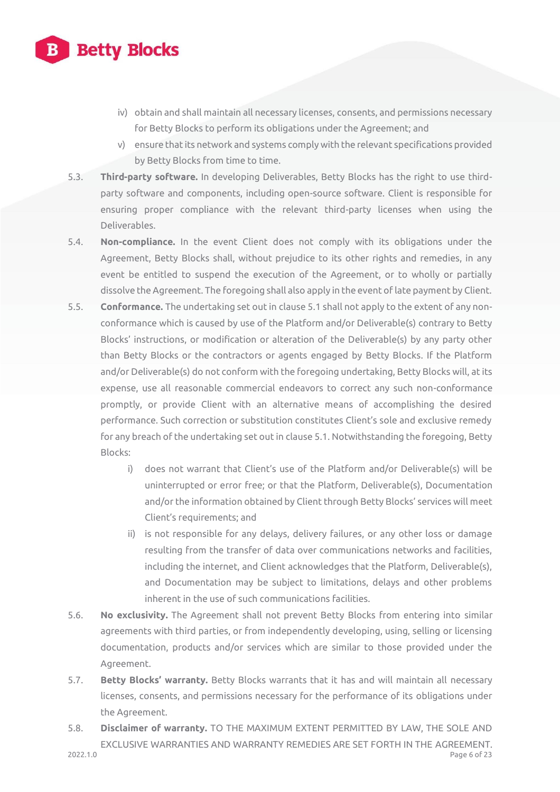

- iv) obtain and shall maintain all necessary licenses, consents, and permissions necessary for Betty Blocks to perform its obligations under the Agreement; and
- v) ensure that its network and systems comply with the relevant specifications provided by Betty Blocks from time to time.
- 5.3. **Third-party software.** In developing Deliverables, Betty Blocks has the right to use thirdparty software and components, including open-source software. Client is responsible for ensuring proper compliance with the relevant third-party licenses when using the Deliverables.
- 5.4. **Non-compliance.** In the event Client does not comply with its obligations under the Agreement, Betty Blocks shall, without prejudice to its other rights and remedies, in any event be entitled to suspend the execution of the Agreement, or to wholly or partially dissolve the Agreement. The foregoing shall also apply in the event of late payment by Client.
- 5.5. **Conformance.** The undertaking set out in clause 5.1 shall not apply to the extent of any nonconformance which is caused by use of the Platform and/or Deliverable(s) contrary to Betty Blocks' instructions, or modification or alteration of the Deliverable(s) by any party other than Betty Blocks or the contractors or agents engaged by Betty Blocks. If the Platform and/or Deliverable(s) do not conform with the foregoing undertaking, Betty Blocks will, at its expense, use all reasonable commercial endeavors to correct any such non-conformance promptly, or provide Client with an alternative means of accomplishing the desired performance. Such correction or substitution constitutes Client's sole and exclusive remedy for any breach of the undertaking set out in clause 5.1. Notwithstanding the foregoing, Betty Blocks:
	- i) does not warrant that Client's use of the Platform and/or Deliverable(s) will be uninterrupted or error free; or that the Platform, Deliverable(s), Documentation and/or the information obtained by Client through Betty Blocks' services will meet Client's requirements; and
	- ii) is not responsible for any delays, delivery failures, or any other loss or damage resulting from the transfer of data over communications networks and facilities, including the internet, and Client acknowledges that the Platform, Deliverable(s), and Documentation may be subject to limitations, delays and other problems inherent in the use of such communications facilities.
- 5.6. **No exclusivity.** The Agreement shall not prevent Betty Blocks from entering into similar agreements with third parties, or from independently developing, using, selling or licensing documentation, products and/or services which are similar to those provided under the Agreement.
- 5.7. **Betty Blocks' warranty.** Betty Blocks warrants that it has and will maintain all necessary licenses, consents, and permissions necessary for the performance of its obligations under the Agreement.
- 2022.1.0 Page 6 of 23 5.8. **Disclaimer of warranty.** TO THE MAXIMUM EXTENT PERMITTED BY LAW, THE SOLE AND EXCLUSIVE WARRANTIES AND WARRANTY REMEDIES ARE SET FORTH IN THE AGREEMENT.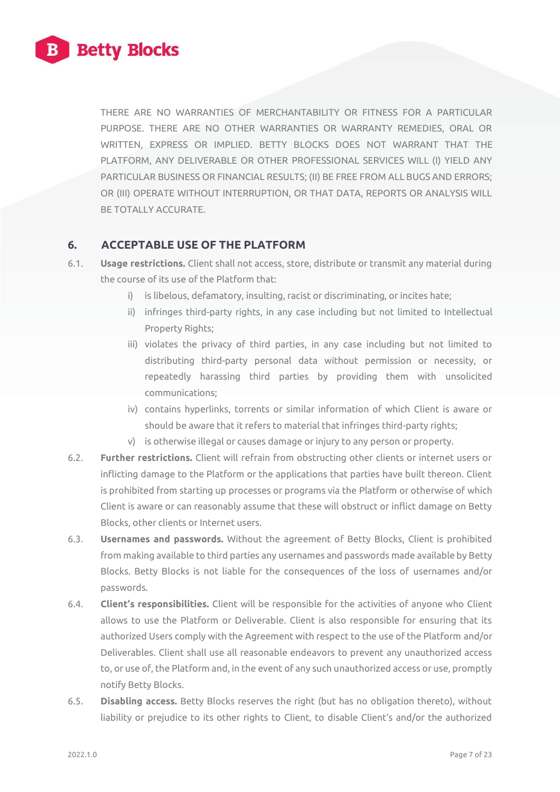

THERE ARE NO WARRANTIES OF MERCHANTABILITY OR FITNESS FOR A PARTICULAR PURPOSE. THERE ARE NO OTHER WARRANTIES OR WARRANTY REMEDIES, ORAL OR WRITTEN, EXPRESS OR IMPLIED. BETTY BLOCKS DOES NOT WARRANT THAT THE PLATFORM, ANY DELIVERABLE OR OTHER PROFESSIONAL SERVICES WILL (I) YIELD ANY PARTICULAR BUSINESS OR FINANCIAL RESULTS; (II) BE FREE FROM ALL BUGS AND ERRORS; OR (III) OPERATE WITHOUT INTERRUPTION, OR THAT DATA, REPORTS OR ANALYSIS WILL BE TOTALLY ACCURATE.

#### **6. ACCEPTABLE USE OF THE PLATFORM**

- 6.1. **Usage restrictions.** Client shall not access, store, distribute or transmit any material during the course of its use of the Platform that:
	- i) is libelous, defamatory, insulting, racist or discriminating, or incites hate;
	- ii) infringes third-party rights, in any case including but not limited to Intellectual Property Rights;
	- iii) violates the privacy of third parties, in any case including but not limited to distributing third-party personal data without permission or necessity, or repeatedly harassing third parties by providing them with unsolicited communications;
	- iv) contains hyperlinks, torrents or similar information of which Client is aware or should be aware that it refers to material that infringes third-party rights;
	- v) is otherwise illegal or causes damage or injury to any person or property.
- 6.2. **Further restrictions.** Client will refrain from obstructing other clients or internet users or inflicting damage to the Platform or the applications that parties have built thereon. Client is prohibited from starting up processes or programs via the Platform or otherwise of which Client is aware or can reasonably assume that these will obstruct or inflict damage on Betty Blocks, other clients or Internet users.
- 6.3. **Usernames and passwords.** Without the agreement of Betty Blocks, Client is prohibited from making available to third parties any usernames and passwords made available by Betty Blocks. Betty Blocks is not liable for the consequences of the loss of usernames and/or passwords.
- 6.4. **Client's responsibilities.** Client will be responsible for the activities of anyone who Client allows to use the Platform or Deliverable. Client is also responsible for ensuring that its authorized Users comply with the Agreement with respect to the use of the Platform and/or Deliverables. Client shall use all reasonable endeavors to prevent any unauthorized access to, or use of, the Platform and, in the event of any such unauthorized access or use, promptly notify Betty Blocks.
- 6.5. **Disabling access.** Betty Blocks reserves the right (but has no obligation thereto), without liability or prejudice to its other rights to Client, to disable Client's and/or the authorized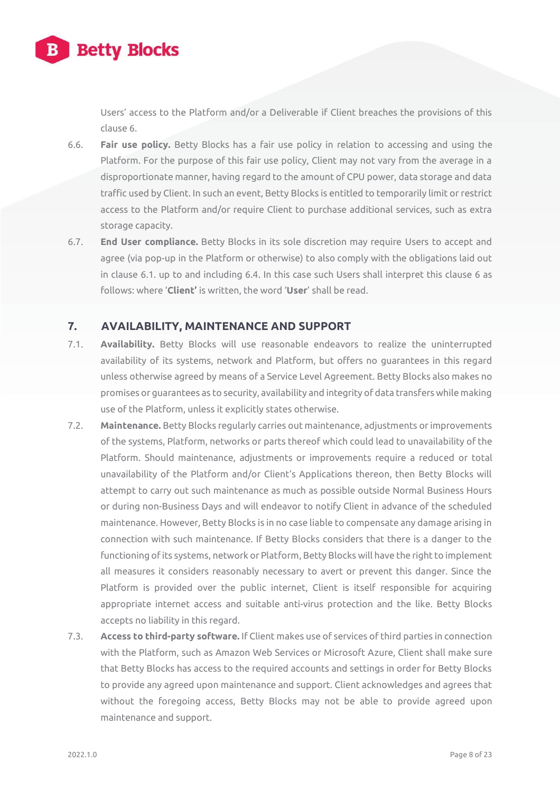

Users' access to the Platform and/or a Deliverable if Client breaches the provisions of this clause 6.

- 6.6. **Fair use policy.** Betty Blocks has a fair use policy in relation to accessing and using the Platform. For the purpose of this fair use policy, Client may not vary from the average in a disproportionate manner, having regard to the amount of CPU power, data storage and data traffic used by Client. In such an event, Betty Blocks is entitled to temporarily limit or restrict access to the Platform and/or require Client to purchase additional services, such as extra storage capacity.
- 6.7. **End User compliance.** Betty Blocks in its sole discretion may require Users to accept and agree (via pop-up in the Platform or otherwise) to also comply with the obligations laid out in clause 6.1. up to and including 6.4. In this case such Users shall interpret this clause 6 as follows: where '**Client'** is written, the word '**User**' shall be read.

#### **7. AVAILABILITY, MAINTENANCE AND SUPPORT**

- 7.1. **Availability.** Betty Blocks will use reasonable endeavors to realize the uninterrupted availability of its systems, network and Platform, but offers no guarantees in this regard unless otherwise agreed by means of a Service Level Agreement. Betty Blocks also makes no promises or guarantees as to security, availability and integrity of data transfers while making use of the Platform, unless it explicitly states otherwise.
- 7.2. **Maintenance.** Betty Blocks regularly carries out maintenance, adjustments or improvements of the systems, Platform, networks or parts thereof which could lead to unavailability of the Platform. Should maintenance, adjustments or improvements require a reduced or total unavailability of the Platform and/or Client's Applications thereon, then Betty Blocks will attempt to carry out such maintenance as much as possible outside Normal Business Hours or during non-Business Days and will endeavor to notify Client in advance of the scheduled maintenance. However, Betty Blocks is in no case liable to compensate any damage arising in connection with such maintenance. If Betty Blocks considers that there is a danger to the functioning of its systems, network or Platform, Betty Blocks will have the right to implement all measures it considers reasonably necessary to avert or prevent this danger. Since the Platform is provided over the public internet, Client is itself responsible for acquiring appropriate internet access and suitable anti-virus protection and the like. Betty Blocks accepts no liability in this regard.
- 7.3. **Access to third-party software.** If Client makes use of services of third parties in connection with the Platform, such as Amazon Web Services or Microsoft Azure, Client shall make sure that Betty Blocks has access to the required accounts and settings in order for Betty Blocks to provide any agreed upon maintenance and support. Client acknowledges and agrees that without the foregoing access, Betty Blocks may not be able to provide agreed upon maintenance and support.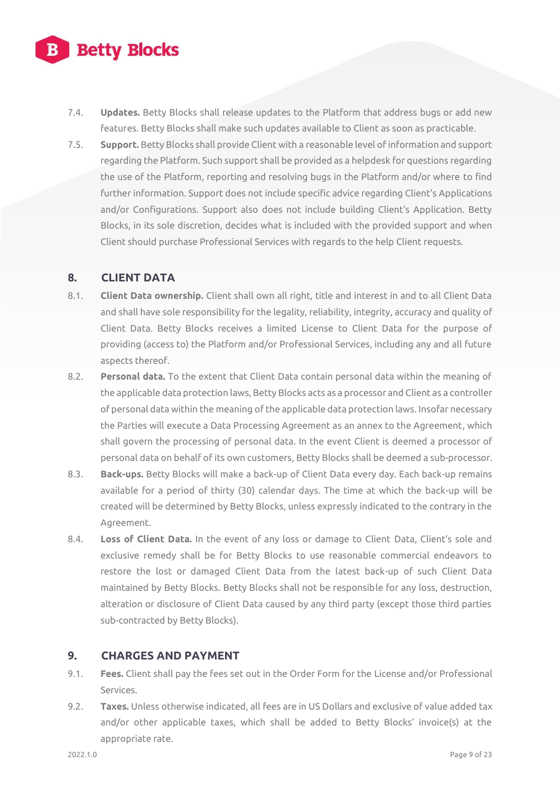# **Betty Blocks**

- 7.4. **Updates.** Betty Blocks shall release updates to the Platform that address bugs or add new features. Betty Blocks shall make such updates available to Client as soon as practicable.
- 7.5. **Support.** Betty Blocks shall provide Client with a reasonable level of information and support regarding the Platform. Such support shall be provided as a helpdesk for questions regarding the use of the Platform, reporting and resolving bugs in the Platform and/or where to find further information. Support does not include specific advice regarding Client's Applications and/or Configurations. Support also does not include building Client's Application. Betty Blocks, in its sole discretion, decides what is included with the provided support and when Client should purchase Professional Services with regards to the help Client requests.

### **8. CLIENT DATA**

- 8.1. **Client Data ownership.** Client shall own all right, title and interest in and to all Client Data and shall have sole responsibility for the legality, reliability, integrity, accuracy and quality of Client Data. Betty Blocks receives a limited License to Client Data for the purpose of providing (access to) the Platform and/or Professional Services, including any and all future aspects thereof.
- 8.2. **Personal data.** To the extent that Client Data contain personal data within the meaning of the applicable data protection laws, Betty Blocks acts as a processor and Client as a controller of personal data within the meaning of the applicable data protection laws. Insofar necessary the Parties will execute a Data Processing Agreement as an annex to the Agreement, which shall govern the processing of personal data. In the event Client is deemed a processor of personal data on behalf of its own customers, Betty Blocks shall be deemed a sub-processor.
- 8.3. **Back-ups.** Betty Blocks will make a back-up of Client Data every day. Each back-up remains available for a period of thirty (30) calendar days. The time at which the back-up will be created will be determined by Betty Blocks, unless expressly indicated to the contrary in the Agreement.
- 8.4. **Loss of Client Data.** In the event of any loss or damage to Client Data, Client's sole and exclusive remedy shall be for Betty Blocks to use reasonable commercial endeavors to restore the lost or damaged Client Data from the latest back-up of such Client Data maintained by Betty Blocks. Betty Blocks shall not be responsible for any loss, destruction, alteration or disclosure of Client Data caused by any third party (except those third parties sub-contracted by Betty Blocks).

## **9. CHARGES AND PAYMENT**

- 9.1. **Fees.** Client shall pay the fees set out in the Order Form for the License and/or Professional Services.
- 9.2. **Taxes.** Unless otherwise indicated, all fees are in US Dollars and exclusive of value added tax and/or other applicable taxes, which shall be added to Betty Blocks' invoice(s) at the appropriate rate.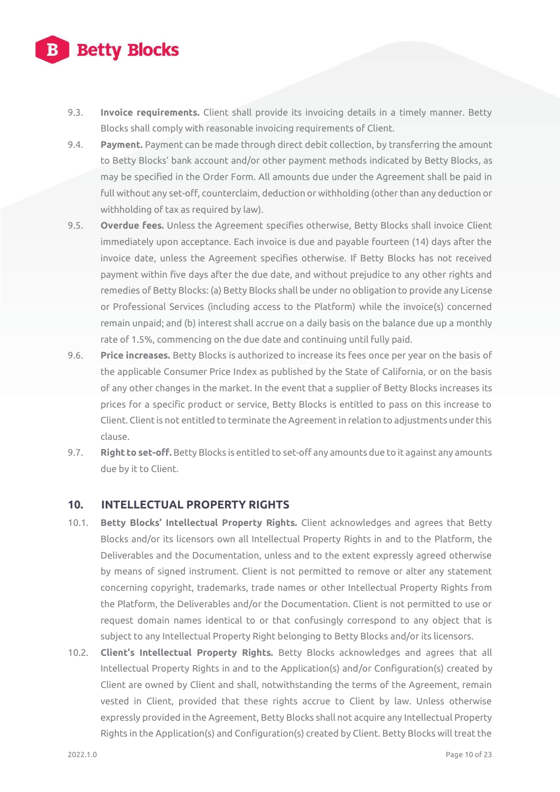## **Betty Blocks**

- 9.3. **Invoice requirements.** Client shall provide its invoicing details in a timely manner. Betty Blocks shall comply with reasonable invoicing requirements of Client.
- 9.4. **Payment.** Payment can be made through direct debit collection, by transferring the amount to Betty Blocks' bank account and/or other payment methods indicated by Betty Blocks, as may be specified in the Order Form. All amounts due under the Agreement shall be paid in full without any set-off, counterclaim, deduction or withholding (other than any deduction or withholding of tax as required by law).
- 9.5. **Overdue fees.** Unless the Agreement specifies otherwise, Betty Blocks shall invoice Client immediately upon acceptance. Each invoice is due and payable fourteen (14) days after the invoice date, unless the Agreement specifies otherwise. If Betty Blocks has not received payment within five days after the due date, and without prejudice to any other rights and remedies of Betty Blocks: (a) Betty Blocks shall be under no obligation to provide any License or Professional Services (including access to the Platform) while the invoice(s) concerned remain unpaid; and (b) interest shall accrue on a daily basis on the balance due up a monthly rate of 1.5%, commencing on the due date and continuing until fully paid.
- 9.6. **Price increases.** Betty Blocks is authorized to increase its fees once per year on the basis of the applicable Consumer Price Index as published by the State of California, or on the basis of any other changes in the market. In the event that a supplier of Betty Blocks increases its prices for a specific product or service, Betty Blocks is entitled to pass on this increase to Client. Client is not entitled to terminate the Agreement in relation to adjustments under this clause.
- 9.7. **Right to set-off.** Betty Blocks is entitled to set-off any amounts due to it against any amounts due by it to Client.

#### **10. INTELLECTUAL PROPERTY RIGHTS**

- 10.1. **Betty Blocks' Intellectual Property Rights.** Client acknowledges and agrees that Betty Blocks and/or its licensors own all Intellectual Property Rights in and to the Platform, the Deliverables and the Documentation, unless and to the extent expressly agreed otherwise by means of signed instrument. Client is not permitted to remove or alter any statement concerning copyright, trademarks, trade names or other Intellectual Property Rights from the Platform, the Deliverables and/or the Documentation. Client is not permitted to use or request domain names identical to or that confusingly correspond to any object that is subject to any Intellectual Property Right belonging to Betty Blocks and/or its licensors.
- 10.2. **Client's Intellectual Property Rights.** Betty Blocks acknowledges and agrees that all Intellectual Property Rights in and to the Application(s) and/or Configuration(s) created by Client are owned by Client and shall, notwithstanding the terms of the Agreement, remain vested in Client, provided that these rights accrue to Client by law. Unless otherwise expressly provided in the Agreement, Betty Blocks shall not acquire any Intellectual Property Rights in the Application(s) and Configuration(s) created by Client. Betty Blocks will treat the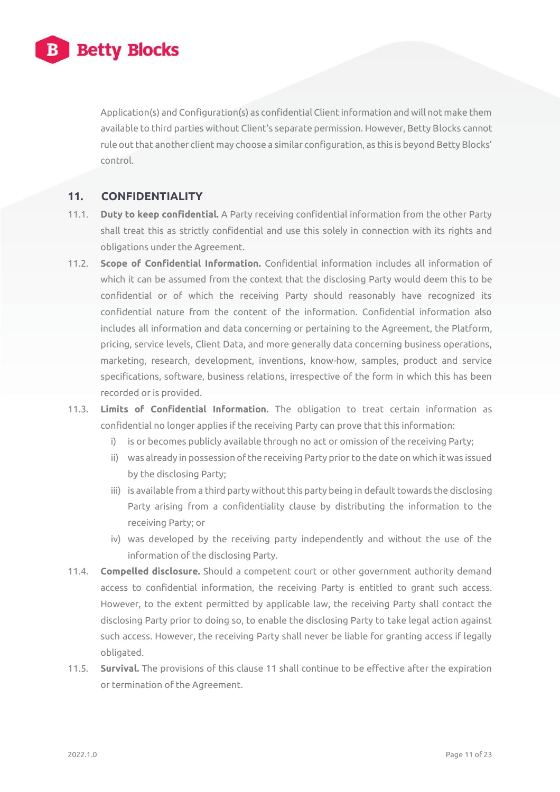

Application(s) and Configuration(s) as confidential Client information and will not make them available to third parties without Client's separate permission. However, Betty Blocks cannot rule out that another client may choose a similar configuration, as this is beyond Betty Blocks' control.

#### **11. CONFIDENTIALITY**

- 11.1. **Duty to keep confidential.** A Party receiving confidential information from the other Party shall treat this as strictly confidential and use this solely in connection with its rights and obligations under the Agreement.
- 11.2. **Scope of Confidential Information.** Confidential information includes all information of which it can be assumed from the context that the disclosing Party would deem this to be confidential or of which the receiving Party should reasonably have recognized its confidential nature from the content of the information. Confidential information also includes all information and data concerning or pertaining to the Agreement, the Platform, pricing, service levels, Client Data, and more generally data concerning business operations, marketing, research, development, inventions, know-how, samples, product and service specifications, software, business relations, irrespective of the form in which this has been recorded or is provided.
- 11.3. **Limits of Confidential Information.** The obligation to treat certain information as confidential no longer applies if the receiving Party can prove that this information:
	- i) is or becomes publicly available through no act or omission of the receiving Party;
	- ii) was already in possession of the receiving Party prior to the date on which it was issued by the disclosing Party;
	- iii) is available from a third party without this party being in default towards the disclosing Party arising from a confidentiality clause by distributing the information to the receiving Party; or
	- iv) was developed by the receiving party independently and without the use of the information of the disclosing Party.
- 11.4. **Compelled disclosure.** Should a competent court or other government authority demand access to confidential information, the receiving Party is entitled to grant such access. However, to the extent permitted by applicable law, the receiving Party shall contact the disclosing Party prior to doing so, to enable the disclosing Party to take legal action against such access. However, the receiving Party shall never be liable for granting access if legally obligated.
- 11.5. **Survival.** The provisions of this clause 11 shall continue to be effective after the expiration or termination of the Agreement.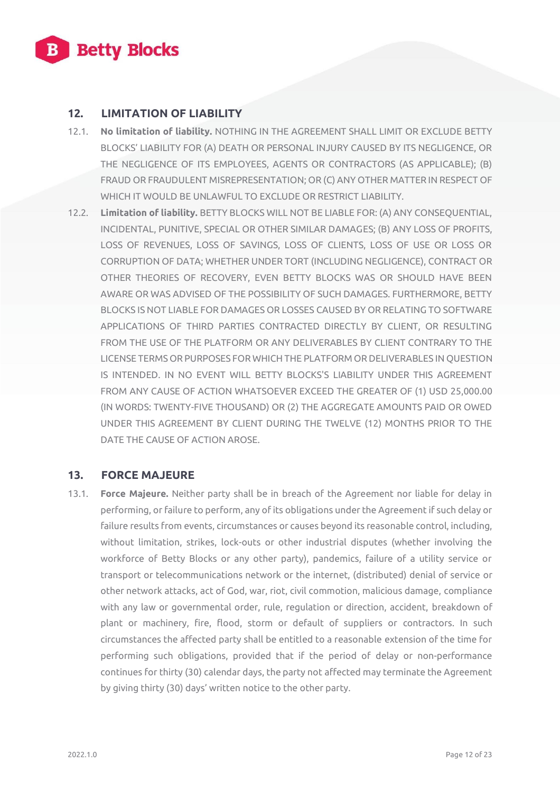

#### **12. LIMITATION OF LIABILITY**

- 12.1. **No limitation of liability.** NOTHING IN THE AGREEMENT SHALL LIMIT OR EXCLUDE BETTY BLOCKS' LIABILITY FOR (A) DEATH OR PERSONAL INJURY CAUSED BY ITS NEGLIGENCE, OR THE NEGLIGENCE OF ITS EMPLOYEES, AGENTS OR CONTRACTORS (AS APPLICABLE); (B) FRAUD OR FRAUDULENT MISREPRESENTATION; OR (C) ANY OTHER MATTER IN RESPECT OF WHICH IT WOULD BE UNLAWFUL TO EXCLUDE OR RESTRICT LIABILITY.
- 12.2. **Limitation of liability.** BETTY BLOCKS WILL NOT BE LIABLE FOR: (A) ANY CONSEQUENTIAL, INCIDENTAL, PUNITIVE, SPECIAL OR OTHER SIMILAR DAMAGES; (B) ANY LOSS OF PROFITS, LOSS OF REVENUES, LOSS OF SAVINGS, LOSS OF CLIENTS, LOSS OF USE OR LOSS OR CORRUPTION OF DATA; WHETHER UNDER TORT (INCLUDING NEGLIGENCE), CONTRACT OR OTHER THEORIES OF RECOVERY, EVEN BETTY BLOCKS WAS OR SHOULD HAVE BEEN AWARE OR WAS ADVISED OF THE POSSIBILITY OF SUCH DAMAGES. FURTHERMORE, BETTY BLOCKS IS NOT LIABLE FOR DAMAGES OR LOSSES CAUSED BY OR RELATING TO SOFTWARE APPLICATIONS OF THIRD PARTIES CONTRACTED DIRECTLY BY CLIENT, OR RESULTING FROM THE USE OF THE PLATFORM OR ANY DELIVERABLES BY CLIENT CONTRARY TO THE LICENSE TERMS OR PURPOSES FOR WHICH THE PLATFORM OR DELIVERABLES IN QUESTION IS INTENDED. IN NO EVENT WILL BETTY BLOCKS'S LIABILITY UNDER THIS AGREEMENT FROM ANY CAUSE OF ACTION WHATSOEVER EXCEED THE GREATER OF (1) USD 25,000.00 (IN WORDS: TWENTY-FIVE THOUSAND) OR (2) THE AGGREGATE AMOUNTS PAID OR OWED UNDER THIS AGREEMENT BY CLIENT DURING THE TWELVE (12) MONTHS PRIOR TO THE DATE THE CAUSE OF ACTION AROSE.

#### **13. FORCE MAJEURE**

13.1. **Force Majeure.** Neither party shall be in breach of the Agreement nor liable for delay in performing, or failure to perform, any of its obligations under the Agreement if such delay or failure results from events, circumstances or causes beyond its reasonable control, including, without limitation, strikes, lock-outs or other industrial disputes (whether involving the workforce of Betty Blocks or any other party), pandemics, failure of a utility service or transport or telecommunications network or the internet, (distributed) denial of service or other network attacks, act of God, war, riot, civil commotion, malicious damage, compliance with any law or governmental order, rule, regulation or direction, accident, breakdown of plant or machinery, fire, flood, storm or default of suppliers or contractors. In such circumstances the affected party shall be entitled to a reasonable extension of the time for performing such obligations, provided that if the period of delay or non-performance continues for thirty (30) calendar days, the party not affected may terminate the Agreement by giving thirty (30) days' written notice to the other party.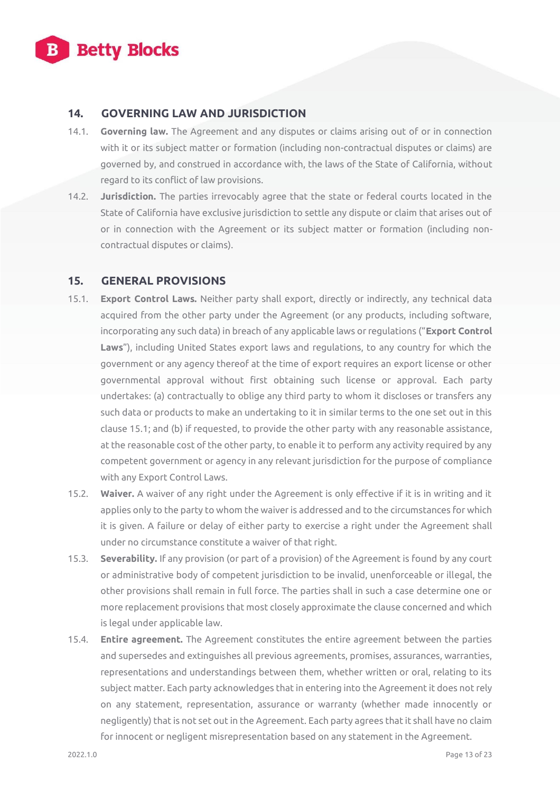

#### **14. GOVERNING LAW AND JURISDICTION**

- 14.1. **Governing law.** The Agreement and any disputes or claims arising out of or in connection with it or its subject matter or formation (including non-contractual disputes or claims) are governed by, and construed in accordance with, the laws of the State of California, without regard to its conflict of law provisions.
- 14.2. **Jurisdiction.** The parties irrevocably agree that the state or federal courts located in the State of California have exclusive jurisdiction to settle any dispute or claim that arises out of or in connection with the Agreement or its subject matter or formation (including noncontractual disputes or claims).

#### **15. GENERAL PROVISIONS**

- 15.1. **Export Control Laws.** Neither party shall export, directly or indirectly, any technical data acquired from the other party under the Agreement (or any products, including software, incorporating any such data) in breach of any applicable laws or regulations ("**Export Control Laws**"), including United States export laws and regulations, to any country for which the government or any agency thereof at the time of export requires an export license or other governmental approval without first obtaining such license or approval. Each party undertakes: (a) contractually to oblige any third party to whom it discloses or transfers any such data or products to make an undertaking to it in similar terms to the one set out in this clause 15.1; and (b) if requested, to provide the other party with any reasonable assistance, at the reasonable cost of the other party, to enable it to perform any activity required by any competent government or agency in any relevant jurisdiction for the purpose of compliance with any Export Control Laws.
- 15.2. **Waiver.** A waiver of any right under the Agreement is only effective if it is in writing and it applies only to the party to whom the waiver is addressed and to the circumstances for which it is given. A failure or delay of either party to exercise a right under the Agreement shall under no circumstance constitute a waiver of that right.
- 15.3. **Severability.** If any provision (or part of a provision) of the Agreement is found by any court or administrative body of competent jurisdiction to be invalid, unenforceable or illegal, the other provisions shall remain in full force. The parties shall in such a case determine one or more replacement provisions that most closely approximate the clause concerned and which is legal under applicable law.
- 15.4. **Entire agreement.** The Agreement constitutes the entire agreement between the parties and supersedes and extinguishes all previous agreements, promises, assurances, warranties, representations and understandings between them, whether written or oral, relating to its subject matter. Each party acknowledges that in entering into the Agreement it does not rely on any statement, representation, assurance or warranty (whether made innocently or negligently) that is not set out in the Agreement. Each party agrees that it shall have no claim for innocent or negligent misrepresentation based on any statement in the Agreement.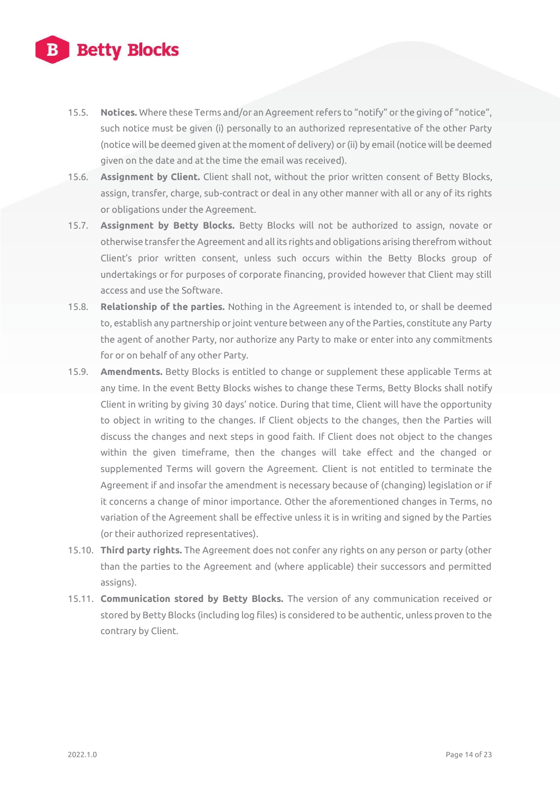

- 15.5. **Notices.** Where these Terms and/or an Agreement refers to "notify" or the giving of "notice", such notice must be given (i) personally to an authorized representative of the other Party (notice will be deemed given at the moment of delivery) or (ii) by email (notice will be deemed given on the date and at the time the email was received).
- 15.6. **Assignment by Client.** Client shall not, without the prior written consent of Betty Blocks, assign, transfer, charge, sub-contract or deal in any other manner with all or any of its rights or obligations under the Agreement.
- 15.7. **Assignment by Betty Blocks.** Betty Blocks will not be authorized to assign, novate or otherwise transfer the Agreement and all its rights and obligations arising therefrom without Client's prior written consent, unless such occurs within the Betty Blocks group of undertakings or for purposes of corporate financing, provided however that Client may still access and use the Software.
- 15.8. **Relationship of the parties.** Nothing in the Agreement is intended to, or shall be deemed to, establish any partnership or joint venture between any of the Parties, constitute any Party the agent of another Party, nor authorize any Party to make or enter into any commitments for or on behalf of any other Party.
- 15.9. **Amendments.** Betty Blocks is entitled to change or supplement these applicable Terms at any time. In the event Betty Blocks wishes to change these Terms, Betty Blocks shall notify Client in writing by giving 30 days' notice. During that time, Client will have the opportunity to object in writing to the changes. If Client objects to the changes, then the Parties will discuss the changes and next steps in good faith. If Client does not object to the changes within the given timeframe, then the changes will take effect and the changed or supplemented Terms will govern the Agreement. Client is not entitled to terminate the Agreement if and insofar the amendment is necessary because of (changing) legislation or if it concerns a change of minor importance. Other the aforementioned changes in Terms, no variation of the Agreement shall be effective unless it is in writing and signed by the Parties (or their authorized representatives).
- 15.10. **Third party rights.** The Agreement does not confer any rights on any person or party (other than the parties to the Agreement and (where applicable) their successors and permitted assigns).
- 15.11. **Communication stored by Betty Blocks.** The version of any communication received or stored by Betty Blocks (including log files) is considered to be authentic, unless proven to the contrary by Client.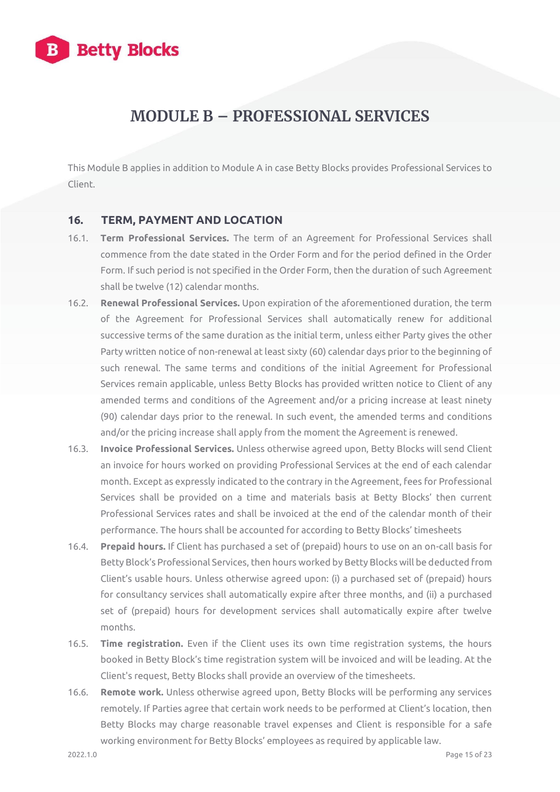

## **MODULE B – PROFESSIONAL SERVICES**

This Module B applies in addition to Module A in case Betty Blocks provides Professional Services to Client.

#### **16. TERM, PAYMENT AND LOCATION**

- 16.1. **Term Professional Services.** The term of an Agreement for Professional Services shall commence from the date stated in the Order Form and for the period defined in the Order Form. If such period is not specified in the Order Form, then the duration of such Agreement shall be twelve (12) calendar months.
- 16.2. **Renewal Professional Services.** Upon expiration of the aforementioned duration, the term of the Agreement for Professional Services shall automatically renew for additional successive terms of the same duration as the initial term, unless either Party gives the other Party written notice of non-renewal at least sixty (60) calendar days prior to the beginning of such renewal. The same terms and conditions of the initial Agreement for Professional Services remain applicable, unless Betty Blocks has provided written notice to Client of any amended terms and conditions of the Agreement and/or a pricing increase at least ninety (90) calendar days prior to the renewal. In such event, the amended terms and conditions and/or the pricing increase shall apply from the moment the Agreement is renewed.
- 16.3. **Invoice Professional Services.** Unless otherwise agreed upon, Betty Blocks will send Client an invoice for hours worked on providing Professional Services at the end of each calendar month. Except as expressly indicated to the contrary in the Agreement, fees for Professional Services shall be provided on a time and materials basis at Betty Blocks' then current Professional Services rates and shall be invoiced at the end of the calendar month of their performance. The hours shall be accounted for according to Betty Blocks' timesheets
- 16.4. **Prepaid hours.** If Client has purchased a set of (prepaid) hours to use on an on-call basis for Betty Block's Professional Services, then hours worked by Betty Blocks will be deducted from Client's usable hours. Unless otherwise agreed upon: (i) a purchased set of (prepaid) hours for consultancy services shall automatically expire after three months, and (ii) a purchased set of (prepaid) hours for development services shall automatically expire after twelve months.
- 16.5. **Time registration.** Even if the Client uses its own time registration systems, the hours booked in Betty Block's time registration system will be invoiced and will be leading. At the Client's request, Betty Blocks shall provide an overview of the timesheets.
- 16.6. **Remote work.** Unless otherwise agreed upon, Betty Blocks will be performing any services remotely. If Parties agree that certain work needs to be performed at Client's location, then Betty Blocks may charge reasonable travel expenses and Client is responsible for a safe working environment for Betty Blocks' employees as required by applicable law.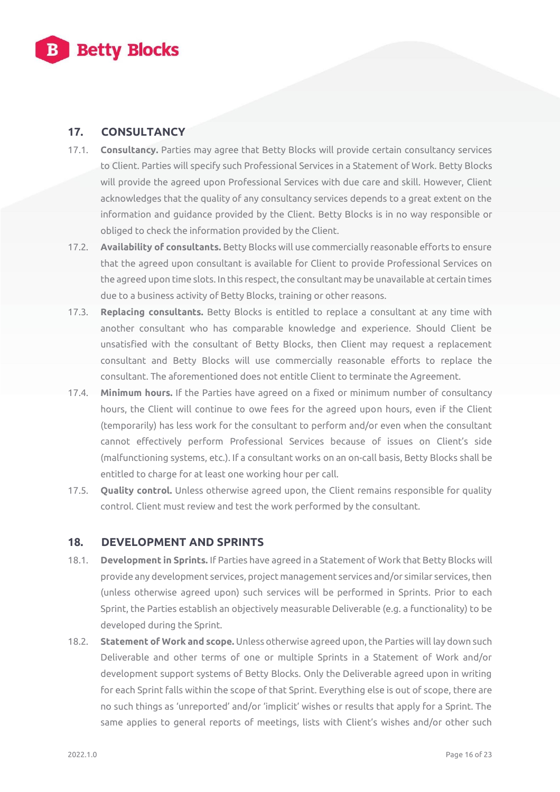

#### **17. CONSULTANCY**

- 17.1. **Consultancy.** Parties may agree that Betty Blocks will provide certain consultancy services to Client. Parties will specify such Professional Services in a Statement of Work. Betty Blocks will provide the agreed upon Professional Services with due care and skill. However, Client acknowledges that the quality of any consultancy services depends to a great extent on the information and guidance provided by the Client. Betty Blocks is in no way responsible or obliged to check the information provided by the Client.
- 17.2. **Availability of consultants.** Betty Blocks will use commercially reasonable efforts to ensure that the agreed upon consultant is available for Client to provide Professional Services on the agreed upon time slots. In this respect, the consultant may be unavailable at certain times due to a business activity of Betty Blocks, training or other reasons.
- 17.3. **Replacing consultants.** Betty Blocks is entitled to replace a consultant at any time with another consultant who has comparable knowledge and experience. Should Client be unsatisfied with the consultant of Betty Blocks, then Client may request a replacement consultant and Betty Blocks will use commercially reasonable efforts to replace the consultant. The aforementioned does not entitle Client to terminate the Agreement.
- 17.4. **Minimum hours.** If the Parties have agreed on a fixed or minimum number of consultancy hours, the Client will continue to owe fees for the agreed upon hours, even if the Client (temporarily) has less work for the consultant to perform and/or even when the consultant cannot effectively perform Professional Services because of issues on Client's side (malfunctioning systems, etc.). If a consultant works on an on-call basis, Betty Blocks shall be entitled to charge for at least one working hour per call.
- 17.5. **Quality control.** Unless otherwise agreed upon, the Client remains responsible for quality control. Client must review and test the work performed by the consultant.

#### **18. DEVELOPMENT AND SPRINTS**

- 18.1. **Development in Sprints.** If Parties have agreed in a Statement of Work that Betty Blocks will provide any development services, project management services and/or similar services, then (unless otherwise agreed upon) such services will be performed in Sprints. Prior to each Sprint, the Parties establish an objectively measurable Deliverable (e.g. a functionality) to be developed during the Sprint.
- 18.2. **Statement of Work and scope.** Unless otherwise agreed upon, the Parties will lay down such Deliverable and other terms of one or multiple Sprints in a Statement of Work and/or development support systems of Betty Blocks. Only the Deliverable agreed upon in writing for each Sprint falls within the scope of that Sprint. Everything else is out of scope, there are no such things as 'unreported' and/or 'implicit' wishes or results that apply for a Sprint. The same applies to general reports of meetings, lists with Client's wishes and/or other such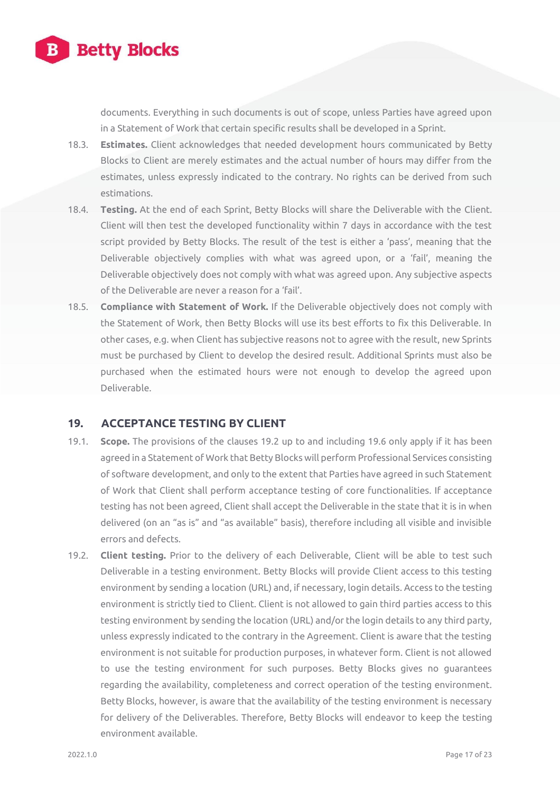

documents. Everything in such documents is out of scope, unless Parties have agreed upon in a Statement of Work that certain specific results shall be developed in a Sprint.

- 18.3. **Estimates.** Client acknowledges that needed development hours communicated by Betty Blocks to Client are merely estimates and the actual number of hours may differ from the estimates, unless expressly indicated to the contrary. No rights can be derived from such estimations.
- 18.4. **Testing.** At the end of each Sprint, Betty Blocks will share the Deliverable with the Client. Client will then test the developed functionality within 7 days in accordance with the test script provided by Betty Blocks. The result of the test is either a 'pass', meaning that the Deliverable objectively complies with what was agreed upon, or a 'fail', meaning the Deliverable objectively does not comply with what was agreed upon. Any subjective aspects of the Deliverable are never a reason for a 'fail'.
- 18.5. **Compliance with Statement of Work.** If the Deliverable objectively does not comply with the Statement of Work, then Betty Blocks will use its best efforts to fix this Deliverable. In other cases, e.g. when Client has subjective reasons not to agree with the result, new Sprints must be purchased by Client to develop the desired result. Additional Sprints must also be purchased when the estimated hours were not enough to develop the agreed upon Deliverable.

#### **19. ACCEPTANCE TESTING BY CLIENT**

- 19.1. **Scope.** The provisions of the clauses 19.2 up to and including 19.6 only apply if it has been agreed in a Statement of Work that Betty Blocks will perform Professional Services consisting of software development, and only to the extent that Parties have agreed in such Statement of Work that Client shall perform acceptance testing of core functionalities. If acceptance testing has not been agreed, Client shall accept the Deliverable in the state that it is in when delivered (on an "as is" and "as available" basis), therefore including all visible and invisible errors and defects.
- 19.2. **Client testing.** Prior to the delivery of each Deliverable, Client will be able to test such Deliverable in a testing environment. Betty Blocks will provide Client access to this testing environment by sending a location (URL) and, if necessary, login details. Access to the testing environment is strictly tied to Client. Client is not allowed to gain third parties access to this testing environment by sending the location (URL) and/or the login details to any third party, unless expressly indicated to the contrary in the Agreement. Client is aware that the testing environment is not suitable for production purposes, in whatever form. Client is not allowed to use the testing environment for such purposes. Betty Blocks gives no guarantees regarding the availability, completeness and correct operation of the testing environment. Betty Blocks, however, is aware that the availability of the testing environment is necessary for delivery of the Deliverables. Therefore, Betty Blocks will endeavor to keep the testing environment available.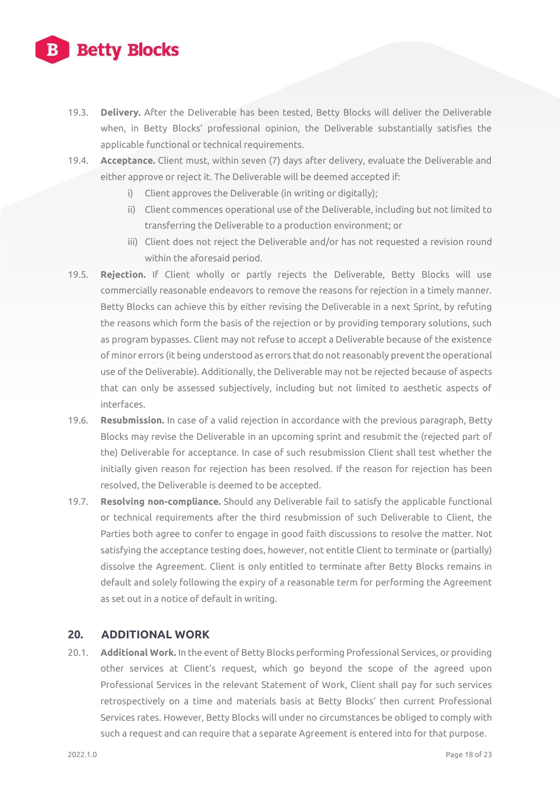# **Betty Blocks**

- 19.3. **Delivery.** After the Deliverable has been tested, Betty Blocks will deliver the Deliverable when, in Betty Blocks' professional opinion, the Deliverable substantially satisfies the applicable functional or technical requirements.
- 19.4. **Acceptance.** Client must, within seven (7) days after delivery, evaluate the Deliverable and either approve or reject it. The Deliverable will be deemed accepted if:
	- i) Client approves the Deliverable (in writing or digitally);
	- ii) Client commences operational use of the Deliverable, including but not limited to transferring the Deliverable to a production environment; or
	- iii) Client does not reject the Deliverable and/or has not requested a revision round within the aforesaid period.
- 19.5. **Rejection.** If Client wholly or partly rejects the Deliverable, Betty Blocks will use commercially reasonable endeavors to remove the reasons for rejection in a timely manner. Betty Blocks can achieve this by either revising the Deliverable in a next Sprint, by refuting the reasons which form the basis of the rejection or by providing temporary solutions, such as program bypasses. Client may not refuse to accept a Deliverable because of the existence of minor errors (it being understood as errors that do not reasonably prevent the operational use of the Deliverable). Additionally, the Deliverable may not be rejected because of aspects that can only be assessed subjectively, including but not limited to aesthetic aspects of interfaces.
- 19.6. **Resubmission.** In case of a valid rejection in accordance with the previous paragraph, Betty Blocks may revise the Deliverable in an upcoming sprint and resubmit the (rejected part of the) Deliverable for acceptance. In case of such resubmission Client shall test whether the initially given reason for rejection has been resolved. If the reason for rejection has been resolved, the Deliverable is deemed to be accepted.
- 19.7. **Resolving non-compliance.** Should any Deliverable fail to satisfy the applicable functional or technical requirements after the third resubmission of such Deliverable to Client, the Parties both agree to confer to engage in good faith discussions to resolve the matter. Not satisfying the acceptance testing does, however, not entitle Client to terminate or (partially) dissolve the Agreement. Client is only entitled to terminate after Betty Blocks remains in default and solely following the expiry of a reasonable term for performing the Agreement as set out in a notice of default in writing.

#### **20. ADDITIONAL WORK**

20.1. **Additional Work.** In the event of Betty Blocks performing Professional Services, or providing other services at Client's request, which go beyond the scope of the agreed upon Professional Services in the relevant Statement of Work, Client shall pay for such services retrospectively on a time and materials basis at Betty Blocks' then current Professional Services rates. However, Betty Blocks will under no circumstances be obliged to comply with such a request and can require that a separate Agreement is entered into for that purpose.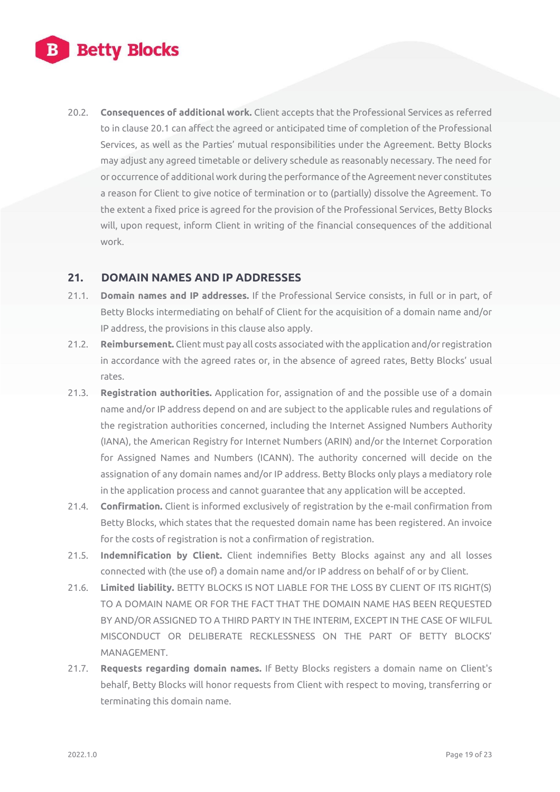20.2. **Consequences of additional work.** Client accepts that the Professional Services as referred to in clause 20.1 can affect the agreed or anticipated time of completion of the Professional Services, as well as the Parties' mutual responsibilities under the Agreement. Betty Blocks may adjust any agreed timetable or delivery schedule as reasonably necessary. The need for or occurrence of additional work during the performance of the Agreement never constitutes a reason for Client to give notice of termination or to (partially) dissolve the Agreement. To the extent a fixed price is agreed for the provision of the Professional Services, Betty Blocks will, upon request, inform Client in writing of the financial consequences of the additional work.

#### **21. DOMAIN NAMES AND IP ADDRESSES**

- 21.1. **Domain names and IP addresses.** If the Professional Service consists, in full or in part, of Betty Blocks intermediating on behalf of Client for the acquisition of a domain name and/or IP address, the provisions in this clause also apply.
- 21.2. **Reimbursement.** Client must pay all costs associated with the application and/or registration in accordance with the agreed rates or, in the absence of agreed rates, Betty Blocks' usual rates.
- 21.3. **Registration authorities.** Application for, assignation of and the possible use of a domain name and/or IP address depend on and are subject to the applicable rules and regulations of the registration authorities concerned, including the Internet Assigned Numbers Authority (IANA), the American Registry for Internet Numbers (ARIN) and/or the Internet Corporation for Assigned Names and Numbers (ICANN). The authority concerned will decide on the assignation of any domain names and/or IP address. Betty Blocks only plays a mediatory role in the application process and cannot guarantee that any application will be accepted.
- 21.4. **Confirmation.** Client is informed exclusively of registration by the e-mail confirmation from Betty Blocks, which states that the requested domain name has been registered. An invoice for the costs of registration is not a confirmation of registration.
- 21.5. **Indemnification by Client.** Client indemnifies Betty Blocks against any and all losses connected with (the use of) a domain name and/or IP address on behalf of or by Client.
- 21.6. **Limited liability.** BETTY BLOCKS IS NOT LIABLE FOR THE LOSS BY CLIENT OF ITS RIGHT(S) TO A DOMAIN NAME OR FOR THE FACT THAT THE DOMAIN NAME HAS BEEN REQUESTED BY AND/OR ASSIGNED TO A THIRD PARTY IN THE INTERIM, EXCEPT IN THE CASE OF WILFUL MISCONDUCT OR DELIBERATE RECKLESSNESS ON THE PART OF BETTY BLOCKS' MANAGEMENT.
- 21.7. **Requests regarding domain names.** If Betty Blocks registers a domain name on Client's behalf, Betty Blocks will honor requests from Client with respect to moving, transferring or terminating this domain name.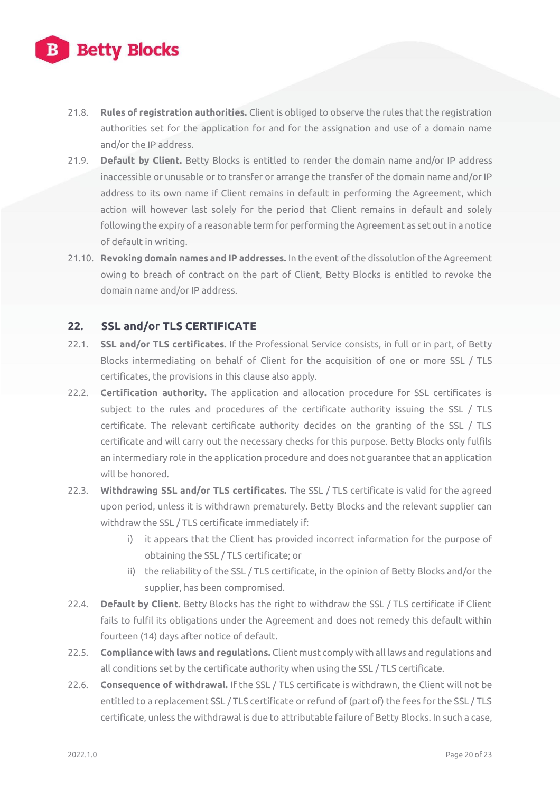

- 21.8. **Rules of registration authorities.** Client is obliged to observe the rules that the registration authorities set for the application for and for the assignation and use of a domain name and/or the IP address.
- 21.9. **Default by Client.** Betty Blocks is entitled to render the domain name and/or IP address inaccessible or unusable or to transfer or arrange the transfer of the domain name and/or IP address to its own name if Client remains in default in performing the Agreement, which action will however last solely for the period that Client remains in default and solely following the expiry of a reasonable term for performing the Agreement as set out in a notice of default in writing.
- 21.10. **Revoking domain names and IP addresses.** In the event of the dissolution of the Agreement owing to breach of contract on the part of Client, Betty Blocks is entitled to revoke the domain name and/or IP address.

#### **22. SSL and/or TLS CERTIFICATE**

- 22.1. **SSL and/or TLS certificates.** If the Professional Service consists, in full or in part, of Betty Blocks intermediating on behalf of Client for the acquisition of one or more SSL / TLS certificates, the provisions in this clause also apply.
- 22.2. **Certification authority.** The application and allocation procedure for SSL certificates is subject to the rules and procedures of the certificate authority issuing the SSL / TLS certificate. The relevant certificate authority decides on the granting of the SSL / TLS certificate and will carry out the necessary checks for this purpose. Betty Blocks only fulfils an intermediary role in the application procedure and does not guarantee that an application will be honored.
- 22.3. **Withdrawing SSL and/or TLS certificates.** The SSL / TLS certificate is valid for the agreed upon period, unless it is withdrawn prematurely. Betty Blocks and the relevant supplier can withdraw the SSL / TLS certificate immediately if:
	- i) it appears that the Client has provided incorrect information for the purpose of obtaining the SSL / TLS certificate; or
	- ii) the reliability of the SSL / TLS certificate, in the opinion of Betty Blocks and/or the supplier, has been compromised.
- 22.4. **Default by Client.** Betty Blocks has the right to withdraw the SSL / TLS certificate if Client fails to fulfil its obligations under the Agreement and does not remedy this default within fourteen (14) days after notice of default.
- 22.5. **Compliance with laws and regulations.** Client must comply with all laws and regulations and all conditions set by the certificate authority when using the SSL / TLS certificate.
- 22.6. **Consequence of withdrawal.** If the SSL / TLS certificate is withdrawn, the Client will not be entitled to a replacement SSL / TLS certificate or refund of (part of) the fees for the SSL / TLS certificate, unless the withdrawal is due to attributable failure of Betty Blocks. In such a case,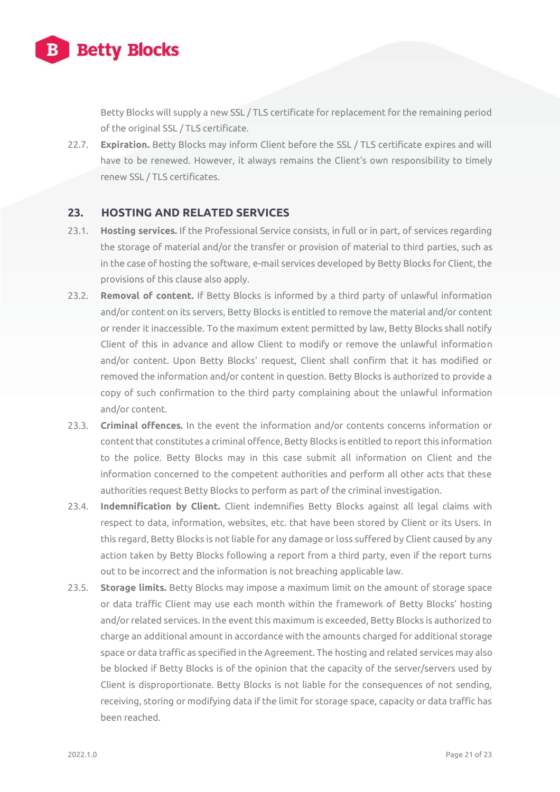

Betty Blocks will supply a new SSL / TLS certificate for replacement for the remaining period of the original SSL / TLS certificate.

22.7. **Expiration.** Betty Blocks may inform Client before the SSL / TLS certificate expires and will have to be renewed. However, it always remains the Client's own responsibility to timely renew SSL / TLS certificates.

#### **23. HOSTING AND RELATED SERVICES**

- 23.1. **Hosting services.** If the Professional Service consists, in full or in part, of services regarding the storage of material and/or the transfer or provision of material to third parties, such as in the case of hosting the software, e-mail services developed by Betty Blocks for Client, the provisions of this clause also apply.
- 23.2. **Removal of content.** If Betty Blocks is informed by a third party of unlawful information and/or content on its servers, Betty Blocks is entitled to remove the material and/or content or render it inaccessible. To the maximum extent permitted by law, Betty Blocks shall notify Client of this in advance and allow Client to modify or remove the unlawful information and/or content. Upon Betty Blocks' request, Client shall confirm that it has modified or removed the information and/or content in question. Betty Blocks is authorized to provide a copy of such confirmation to the third party complaining about the unlawful information and/or content.
- 23.3. **Criminal offences.** In the event the information and/or contents concerns information or content that constitutes a criminal offence, Betty Blocks is entitled to report this information to the police. Betty Blocks may in this case submit all information on Client and the information concerned to the competent authorities and perform all other acts that these authorities request Betty Blocks to perform as part of the criminal investigation.
- 23.4. **Indemnification by Client.** Client indemnifies Betty Blocks against all legal claims with respect to data, information, websites, etc. that have been stored by Client or its Users. In this regard, Betty Blocks is not liable for any damage or loss suffered by Client caused by any action taken by Betty Blocks following a report from a third party, even if the report turns out to be incorrect and the information is not breaching applicable law.
- 23.5. **Storage limits.** Betty Blocks may impose a maximum limit on the amount of storage space or data traffic Client may use each month within the framework of Betty Blocks' hosting and/or related services. In the event this maximum is exceeded, Betty Blocks is authorized to charge an additional amount in accordance with the amounts charged for additional storage space or data traffic as specified in the Agreement. The hosting and related services may also be blocked if Betty Blocks is of the opinion that the capacity of the server/servers used by Client is disproportionate. Betty Blocks is not liable for the consequences of not sending, receiving, storing or modifying data if the limit for storage space, capacity or data traffic has been reached.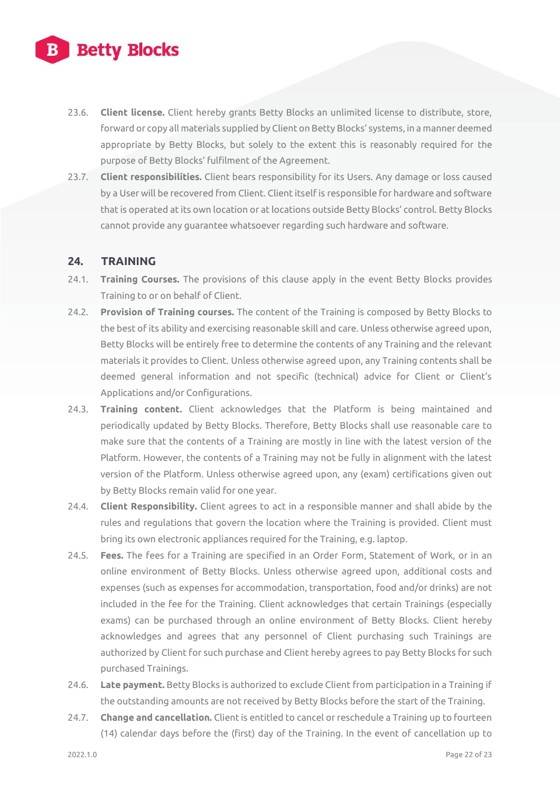

- 23.6. **Client license.** Client hereby grants Betty Blocks an unlimited license to distribute, store, forward or copy all materials supplied by Client on Betty Blocks' systems, in a manner deemed appropriate by Betty Blocks, but solely to the extent this is reasonably required for the purpose of Betty Blocks' fulfilment of the Agreement.
- 23.7. **Client responsibilities.** Client bears responsibility for its Users. Any damage or loss caused by a User will be recovered from Client. Client itself is responsible for hardware and software that is operated at its own location or at locations outside Betty Blocks' control. Betty Blocks cannot provide any guarantee whatsoever regarding such hardware and software.

#### **24. TRAINING**

- 24.1. **Training Courses.** The provisions of this clause apply in the event Betty Blocks provides Training to or on behalf of Client.
- 24.2. **Provision of Training courses.** The content of the Training is composed by Betty Blocks to the best of its ability and exercising reasonable skill and care. Unless otherwise agreed upon, Betty Blocks will be entirely free to determine the contents of any Training and the relevant materials it provides to Client. Unless otherwise agreed upon, any Training contents shall be deemed general information and not specific (technical) advice for Client or Client's Applications and/or Configurations.
- 24.3. **Training content.** Client acknowledges that the Platform is being maintained and periodically updated by Betty Blocks. Therefore, Betty Blocks shall use reasonable care to make sure that the contents of a Training are mostly in line with the latest version of the Platform. However, the contents of a Training may not be fully in alignment with the latest version of the Platform. Unless otherwise agreed upon, any (exam) certifications given out by Betty Blocks remain valid for one year.
- 24.4. **Client Responsibility.** Client agrees to act in a responsible manner and shall abide by the rules and regulations that govern the location where the Training is provided. Client must bring its own electronic appliances required for the Training, e.g. laptop.
- 24.5. **Fees.** The fees for a Training are specified in an Order Form, Statement of Work, or in an online environment of Betty Blocks. Unless otherwise agreed upon, additional costs and expenses (such as expenses for accommodation, transportation, food and/or drinks) are not included in the fee for the Training. Client acknowledges that certain Trainings (especially exams) can be purchased through an online environment of Betty Blocks. Client hereby acknowledges and agrees that any personnel of Client purchasing such Trainings are authorized by Client for such purchase and Client hereby agrees to pay Betty Blocks for such purchased Trainings.
- 24.6. **Late payment.** Betty Blocks is authorized to exclude Client from participation in a Training if the outstanding amounts are not received by Betty Blocks before the start of the Training.
- 24.7. **Change and cancellation.** Client is entitled to cancel or reschedule a Training up to fourteen (14) calendar days before the (first) day of the Training. In the event of cancellation up to